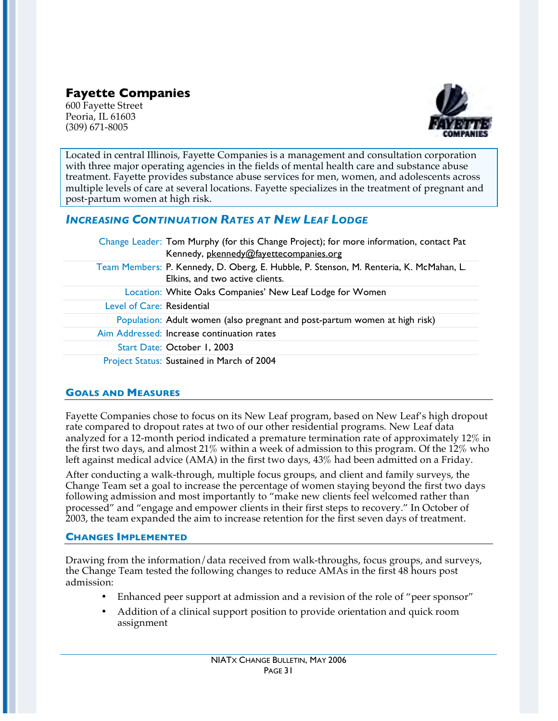# **Fayette Companies**

600 Fayette Street Peoria, IL 61603 (309) 671-8005



Located in central Illinois, Fayette Companies is a management and consultation corporation with three major operating agencies in the fields of mental health care and substance abuse treatment. Fayette provides substance abuse services for men, women, and adolescents across multiple levels of care at several locations. Fayette specializes in the treatment of pregnant and post-partum women at high risk.

## *INCREASING CONTINUATION RATES AT NEW LEAF LODGE*

|                            | Change Leader: Tom Murphy (for this Change Project); for more information, contact Pat<br>Kennedy, pkennedy@fayettecompanies.org |
|----------------------------|----------------------------------------------------------------------------------------------------------------------------------|
|                            | Team Members: P. Kennedy, D. Oberg, E. Hubble, P. Stenson, M. Renteria, K. McMahan, L.<br>Elkins, and two active clients.        |
|                            | Location: White Oaks Companies' New Leaf Lodge for Women                                                                         |
| Level of Care: Residential |                                                                                                                                  |
|                            | Population: Adult women (also pregnant and post-partum women at high risk)                                                       |
|                            | Aim Addressed: Increase continuation rates                                                                                       |
|                            | Start Date: October 1, 2003                                                                                                      |
|                            | Project Status: Sustained in March of 2004                                                                                       |

### **GOALS AND MEASURES**

Fayette Companies chose to focus on its New Leaf program, based on New Leaf's high dropout rate compared to dropout rates at two of our other residential programs. New Leaf data analyzed for a 12-month period indicated a premature termination rate of approximately 12% in the first two days, and almost 21% within a week of admission to this program. Of the 12% who left against medical advice (AMA) in the first two days, 43% had been admitted on a Friday.

After conducting a walk-through, multiple focus groups, and client and family surveys, the Change Team set a goal to increase the percentage of women staying beyond the first two days following admission and most importantly to "make new clients feel welcomed rather than processed" and "engage and empower clients in their first steps to recovery." In October of 2003, the team expanded the aim to increase retention for the first seven days of treatment.

### **CHANGES IMPLEMENTED**

Drawing from the information/data received from walk-throughs, focus groups, and surveys, the Change Team tested the following changes to reduce AMAs in the first 48 hours post admission:

- Enhanced peer support at admission and a revision of the role of "peer sponsor"
- Addition of a clinical support position to provide orientation and quick room assignment